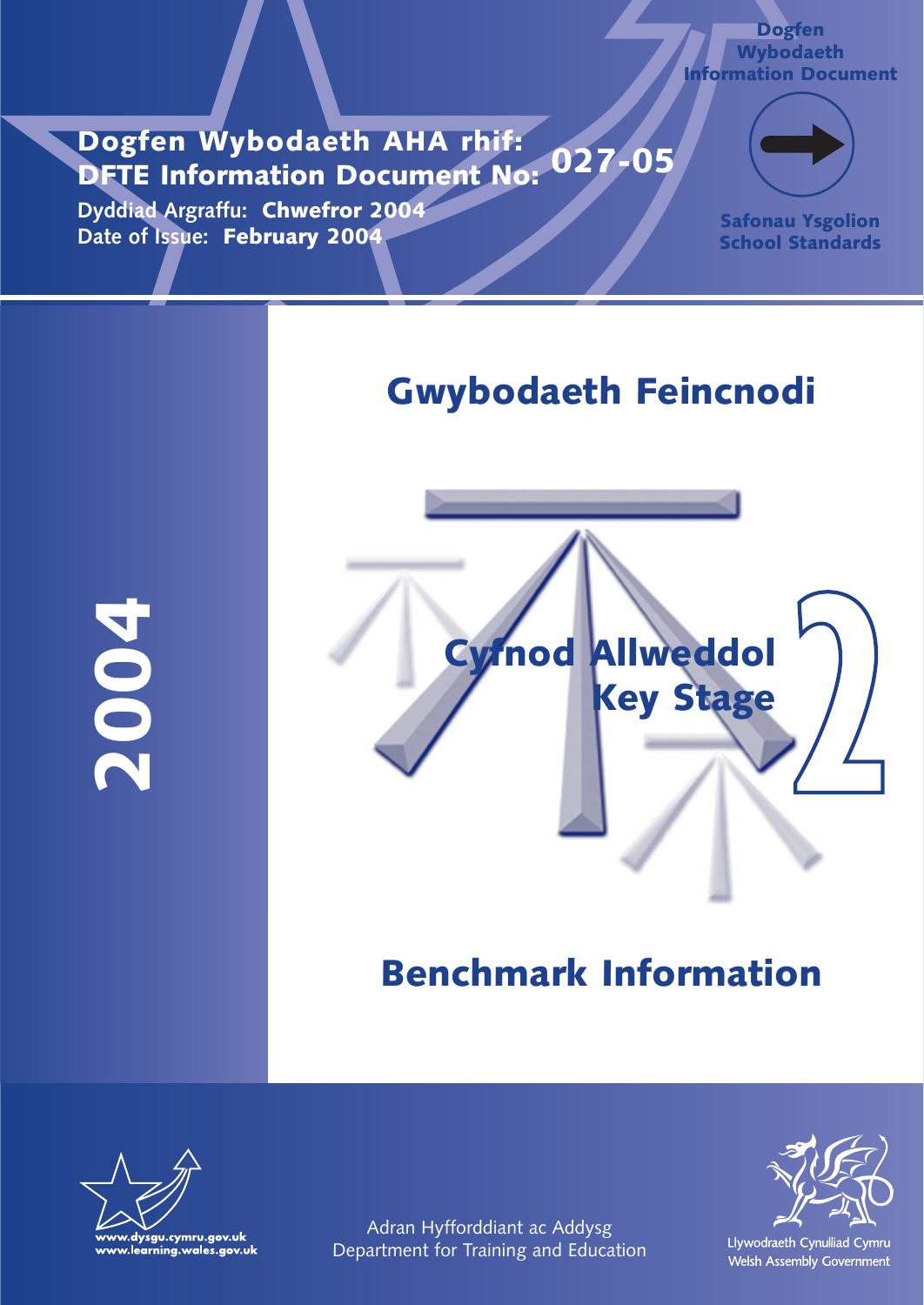**Dogfen Wybodaeth AHA rhif: DFTE Information Document No: 027-05**

**Dyddiad Argraffu: Chwefror 2004 Date of Issue: February 2004**



**Dogfen Wybodaeth Information Document**

> **Safonau Ysgolion School Standards**

## **Gwybodaeth Feincnodi**

**2004**



## **Benchmark Information**





Adran Hyfforddiant ac Addysg Department for Training and Education

Llywodraeth Cynulliad Cymru Welsh Assembly Government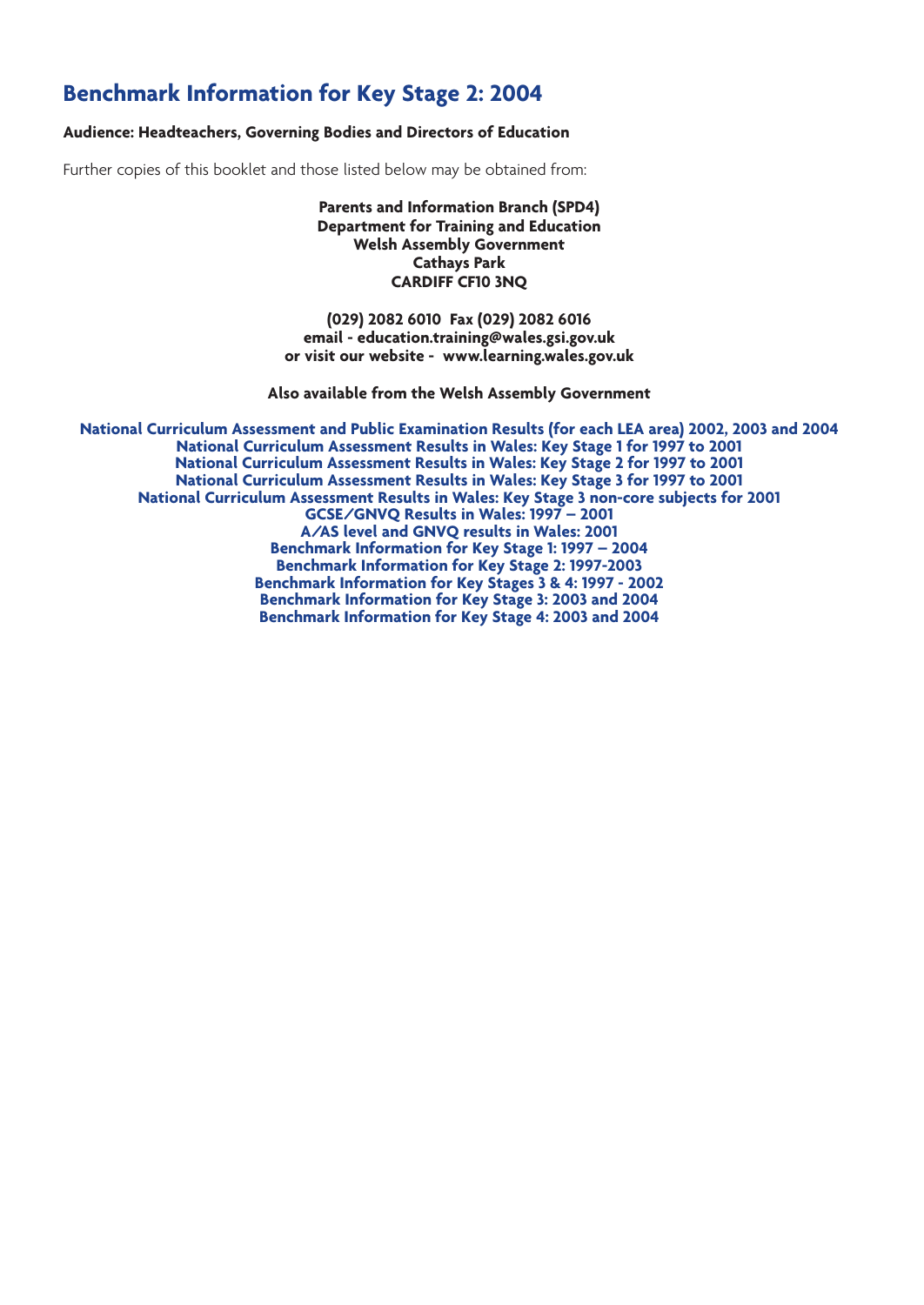## **Benchmark Information for Key Stage 2: 2004**

#### **Audience: Headteachers, Governing Bodies and Directors of Education**

Further copies of this booklet and those listed below may be obtained from:

**Parents and Information Branch (SPD4) Department for Training and Education Welsh Assembly Government Cathays Park CARDIFF CF10 3NQ**

**(029) 2082 6010 Fax (029) 2082 6016 email - education.training@wales.gsi.gov.uk or visit our website - www.learning.wales.gov.uk**

**Also available from the Welsh Assembly Government**

**National Curriculum Assessment and Public Examination Results (for each LEA area) 2002, 2003 and 2004 National Curriculum Assessment Results in Wales: Key Stage 1 for 1997 to 2001 National Curriculum Assessment Results in Wales: Key Stage 2 for 1997 to 2001 National Curriculum Assessment Results in Wales: Key Stage 3 for 1997 to 2001 National Curriculum Assessment Results in Wales: Key Stage 3 non-core subjects for 2001 GCSE/GNVQ Results in Wales: 1997 – 2001 A/AS level and GNVQ results in Wales: 2001 Benchmark Information for Key Stage 1: 1997 – 2004 Benchmark Information for Key Stage 2: 1997-2003 Benchmark Information for Key Stages 3 & 4: 1997 - 2002 Benchmark Information for Key Stage 3: 2003 and 2004 Benchmark Information for Key Stage 4: 2003 and 2004**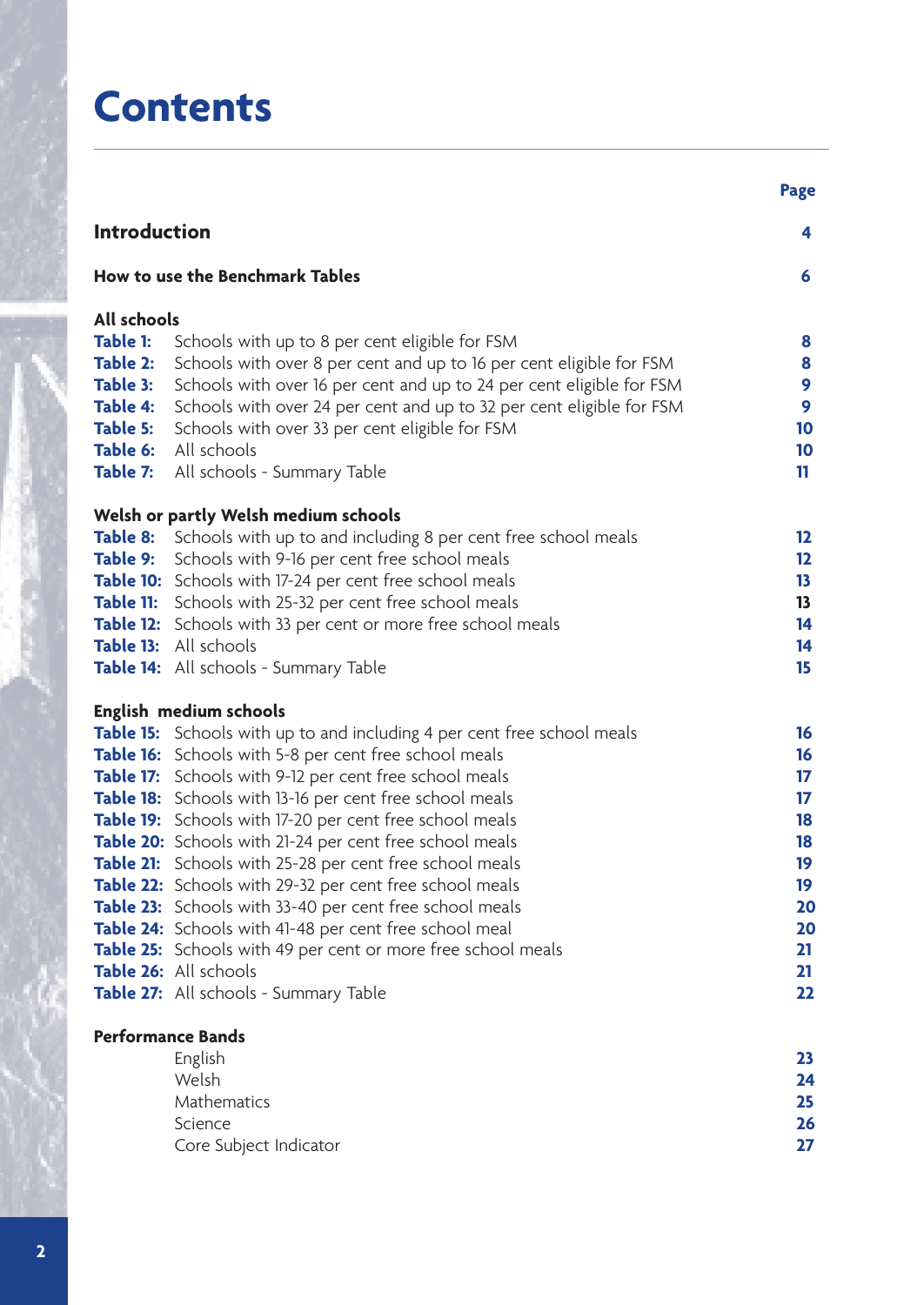# **Contents**

|                             |                                                                                                                                              | <b>Page</b> |
|-----------------------------|----------------------------------------------------------------------------------------------------------------------------------------------|-------------|
| <b>Introduction</b>         |                                                                                                                                              | 4           |
|                             | <b>How to use the Benchmark Tables</b>                                                                                                       | 6           |
| <b>All schools</b>          |                                                                                                                                              |             |
| <b>Table 1:</b>             | Schools with up to 8 per cent eligible for FSM                                                                                               | 8           |
| Table 2:                    | Schools with over 8 per cent and up to 16 per cent eligible for FSM                                                                          | 8           |
| Table 3:<br><b>Table 4:</b> | Schools with over 16 per cent and up to 24 per cent eligible for FSM<br>Schools with over 24 per cent and up to 32 per cent eligible for FSM | 9<br>9      |
| Table 5:                    | Schools with over 33 per cent eligible for FSM                                                                                               | 10          |
| Table 6:                    | All schools                                                                                                                                  | 10          |
| Table 7:                    | All schools - Summary Table                                                                                                                  | 11          |
|                             | Welsh or partly Welsh medium schools                                                                                                         |             |
| Table 8:                    | Schools with up to and including 8 per cent free school meals                                                                                | 12          |
|                             | Table 9: Schools with 9-16 per cent free school meals                                                                                        | 12          |
|                             | Table 10: Schools with 17-24 per cent free school meals                                                                                      | 13          |
|                             | Table 11: Schools with 25-32 per cent free school meals                                                                                      | 13<br>14    |
|                             | Table 12: Schools with 33 per cent or more free school meals<br>Table 13: All schools                                                        | 14          |
|                             | Table 14: All schools - Summary Table                                                                                                        | 15          |
|                             | English medium schools                                                                                                                       |             |
|                             | <b>Table 15:</b> Schools with up to and including 4 per cent free school meals                                                               | 16          |
|                             | Table 16: Schools with 5-8 per cent free school meals                                                                                        | 16          |
|                             | Table 17: Schools with 9-12 per cent free school meals                                                                                       | 17          |
|                             | Table 18: Schools with 13-16 per cent free school meals                                                                                      | 17          |
|                             | Table 19: Schools with 17-20 per cent free school meals                                                                                      | 18          |
|                             | Table 20: Schools with 21-24 per cent free school meals<br>Table 21: Schools with 25-28 per cent free school meals                           | 18<br>19    |
|                             | Table 22: Schools with 29-32 per cent free school meals                                                                                      | 19          |
|                             | Table 23: Schools with 33-40 per cent free school meals                                                                                      | 20          |
|                             | Table 24: Schools with 41-48 per cent free school meal                                                                                       | 20          |
|                             | Table 25: Schools with 49 per cent or more free school meals                                                                                 | 21          |
|                             | Table 26: All schools                                                                                                                        | 21          |
|                             | Table 27: All schools - Summary Table                                                                                                        | 22          |
|                             | <b>Performance Bands</b>                                                                                                                     |             |
|                             | English                                                                                                                                      | 23          |
|                             | Welsh<br>Mathematics                                                                                                                         | 24<br>25    |
|                             | Science                                                                                                                                      | 26          |
|                             | Core Subject Indicator                                                                                                                       | 27          |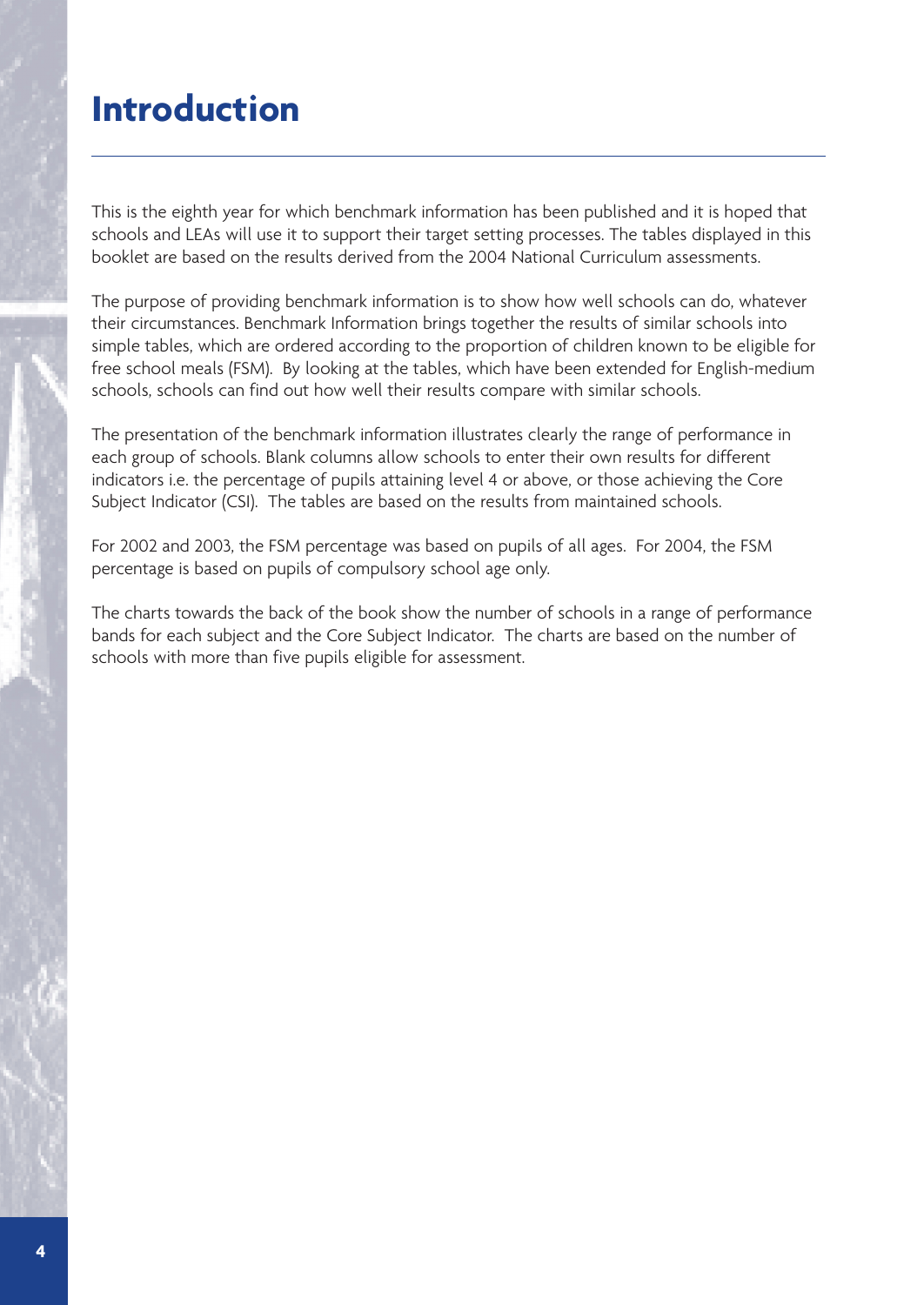# **Introduction**

This is the eighth year for which benchmark information has been published and it is hoped that schools and LEAs will use it to support their target setting processes. The tables displayed in this booklet are based on the results derived from the 2004 National Curriculum assessments.

The purpose of providing benchmark information is to show how well schools can do, whatever their circumstances. Benchmark Information brings together the results of similar schools into simple tables, which are ordered according to the proportion of children known to be eligible for free school meals (FSM). By looking at the tables, which have been extended for English-medium schools, schools can find out how well their results compare with similar schools.

The presentation of the benchmark information illustrates clearly the range of performance in each group of schools. Blank columns allow schools to enter their own results for different indicators i.e. the percentage of pupils attaining level 4 or above, or those achieving the Core Subject Indicator (CSI). The tables are based on the results from maintained schools.

For 2002 and 2003, the FSM percentage was based on pupils of all ages. For 2004, the FSM percentage is based on pupils of compulsory school age only.

The charts towards the back of the book show the number of schools in a range of performance bands for each subject and the Core Subject Indicator. The charts are based on the number of schools with more than five pupils eligible for assessment.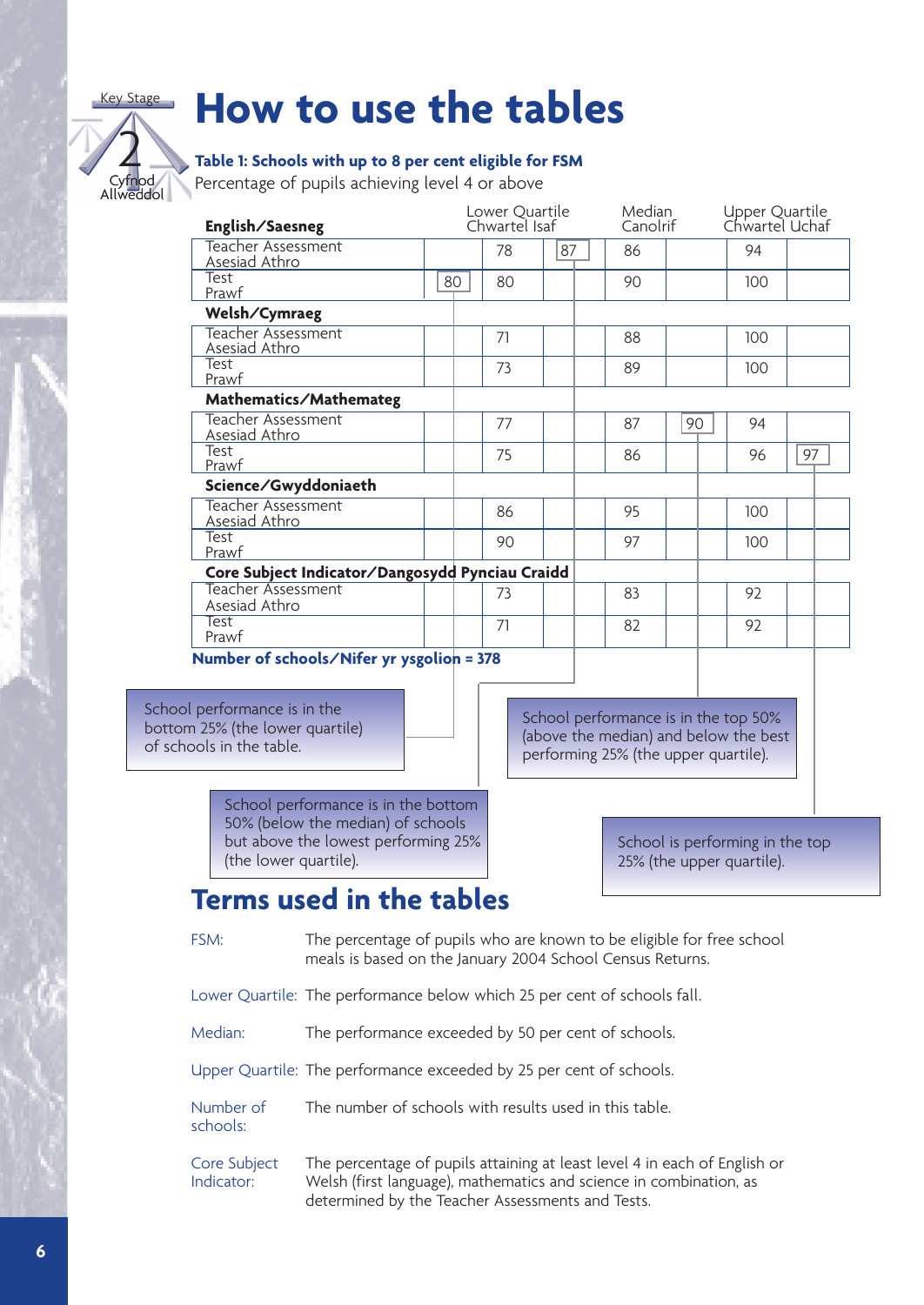#### Key Stage

Cyfnod Allweddol

2

# **How to use the tables**

## **Table 1: Schools with up to 8 per cent eligible for FSM**

Percentage of pupils achieving level 4 or above

| English/Saesneg                                 | Lower Quartile<br>Chwartel Isaf |  |    | Median<br>Canolrif |  | Upper Quartile<br>Chwartel Uchaf |    |  |     |    |  |
|-------------------------------------------------|---------------------------------|--|----|--------------------|--|----------------------------------|----|--|-----|----|--|
| Teacher Assessment<br>Asesiad Athro             |                                 |  | 78 | 87                 |  | 86                               |    |  | 94  |    |  |
| Test<br>Prawf                                   | 80                              |  | 80 |                    |  | 90                               |    |  | 100 |    |  |
| Welsh/Cymraeg                                   |                                 |  |    |                    |  |                                  |    |  |     |    |  |
| <b>Teacher Assessment</b><br>Asesiad Athro      |                                 |  | 71 |                    |  | 88                               |    |  | 100 |    |  |
| Test<br>Prawf                                   |                                 |  | 73 |                    |  | 89                               |    |  | 100 |    |  |
| Mathematics/Mathemateg                          |                                 |  |    |                    |  |                                  |    |  |     |    |  |
| <b>Teacher Assessment</b><br>Asesiad Athro      |                                 |  | 77 |                    |  | 87                               | 90 |  | 94  |    |  |
| Test<br>Prawf                                   |                                 |  | 75 |                    |  | 86                               |    |  | 96  | 97 |  |
| Science/Gwyddoniaeth                            |                                 |  |    |                    |  |                                  |    |  |     |    |  |
| Teacher Assessment<br>Asesiad Athro             |                                 |  | 86 |                    |  | 95                               |    |  | 100 |    |  |
| Test<br>Prawf                                   |                                 |  | 90 |                    |  | 97                               |    |  | 100 |    |  |
| Core Subject Indicator/Dangosydd Pynciau Craidd |                                 |  |    |                    |  |                                  |    |  |     |    |  |
| Teacher Assessment<br>Asesiad Athro             |                                 |  | 73 |                    |  | 83                               |    |  | 92  |    |  |
| <b>Test</b><br>Prawf                            |                                 |  | 71 |                    |  | 82                               |    |  | 92  |    |  |
| Number of schools/Nifer yr ysgolion = 378       |                                 |  |    |                    |  |                                  |    |  |     |    |  |
| performance is in the                           |                                 |  |    |                    |  |                                  |    |  |     |    |  |

Schoo bottom 25% (the lower quartile) of schools in the table.

School performance is in the top 50% (above the median) and below the best performing 25% (the upper quartile).

School performance is in the bottom 50% (below the median) of schools but above the lowest performing 25% (the lower quartile).

School is performing in the top 25% (the upper quartile).

## **Terms used in the tables**

FSM: The percentage of pupils who are known to be eligible for free school meals is based on the January 2004 School Census Returns.

Lower Quartile: The performance below which 25 per cent of schools fall.

Median: The performance exceeded by 50 per cent of schools.

Upper Quartile: The performance exceeded by 25 per cent of schools.

Number of The number of schools with results used in this table. schools:

Core Subject The percentage of pupils attaining at least level 4 in each of English or<br>Indicator: Welsh (first language), mathematics and science in combination, as Welsh (first language), mathematics and science in combination, as determined by the Teacher Assessments and Tests.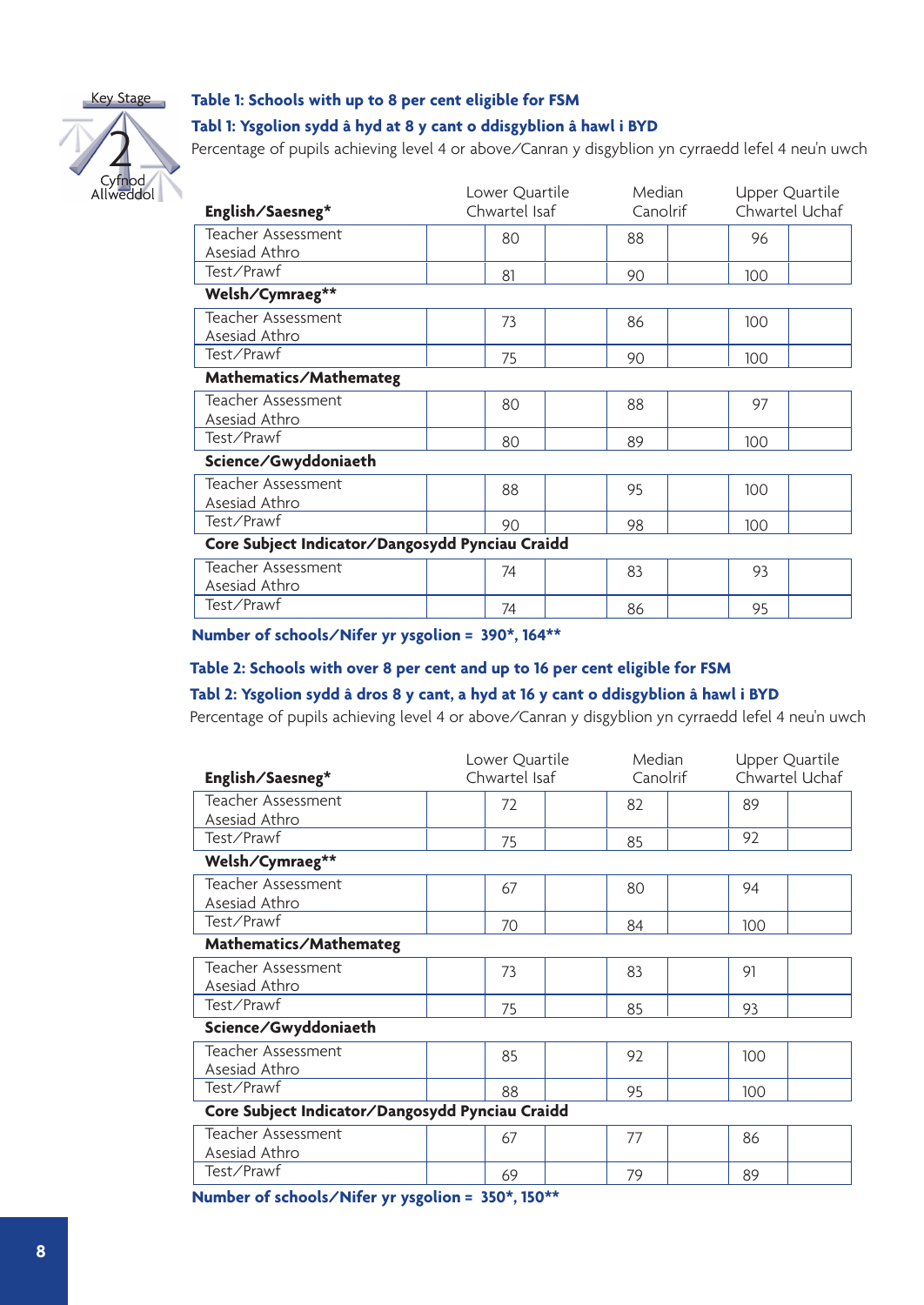

Cyfnod Allweddol

2

#### **Table 1: Schools with up to 8 per cent eligible for FSM**

## **Tabl 1: Ysgolion sydd â hyd at 8 y cant o ddisgyblion â hawl i BYD**

Percentage of pupils achieving level 4 or above/Canran y disgyblion yn cyrraedd lefel 4 neu'n uwch

| English/Saesneg*                                | Lower Quartile<br>Chwartel Isaf |  | Median<br>Canolrif |  | Upper Quartile | Chwartel Uchaf |
|-------------------------------------------------|---------------------------------|--|--------------------|--|----------------|----------------|
| Teacher Assessment<br>Asesiad Athro             | 80                              |  | 88                 |  | 96             |                |
| Test/Prawf                                      | 81                              |  | 90                 |  | 100            |                |
| Welsh/Cymraeg**                                 |                                 |  |                    |  |                |                |
| Teacher Assessment<br>Asesiad Athro             | 73                              |  | 86                 |  | 100            |                |
| Test/Prawf                                      | 75                              |  | 90                 |  | 100            |                |
| Mathematics/Mathemateg                          |                                 |  |                    |  |                |                |
| Teacher Assessment<br>Asesiad Athro             | 80                              |  | 88                 |  | 97             |                |
| Test/Prawf                                      | 80                              |  | 89                 |  | 100            |                |
| Science/Gwyddoniaeth                            |                                 |  |                    |  |                |                |
| Teacher Assessment<br>Asesiad Athro             | 88                              |  | 95                 |  | 100            |                |
| Test/Prawf                                      | 90                              |  | 98                 |  | 100            |                |
| Core Subject Indicator/Dangosydd Pynciau Craidd |                                 |  |                    |  |                |                |
| Teacher Assessment<br>Asesiad Athro             | 74                              |  | 83                 |  | 93             |                |
| Test/Prawf                                      | 74                              |  | 86                 |  | 95             |                |

**Number of schools/Nifer yr ysgolion = 390\*, 164\*\***

#### **Table 2: Schools with over 8 per cent and up to 16 per cent eligible for FSM**

#### **Tabl 2: Ysgolion sydd â dros 8 y cant, a hyd at 16 y cant o ddisgyblion â hawl i BYD**

Percentage of pupils achieving level 4 or above/Canran y disgyblion yn cyrraedd lefel 4 neu'n uwch

| English/Saesneg*                                | Lower Quartile<br>Chwartel Isaf |    | <b>Median</b><br>Canolrif |    | Upper Quartile<br>Chwartel Uchaf |     |  |
|-------------------------------------------------|---------------------------------|----|---------------------------|----|----------------------------------|-----|--|
| Teacher Assessment<br>Asesiad Athro             |                                 | 72 |                           | 82 |                                  | 89  |  |
| Test/Prawf                                      |                                 | 75 |                           | 85 |                                  | 92  |  |
| Welsh/Cymraeg**                                 |                                 |    |                           |    |                                  |     |  |
| Teacher Assessment<br>Asesiad Athro             |                                 | 67 |                           | 80 |                                  | 94  |  |
| Test/Prawf                                      |                                 | 70 |                           | 84 |                                  | 100 |  |
| Mathematics/Mathemateg                          |                                 |    |                           |    |                                  |     |  |
| Teacher Assessment<br>Asesiad Athro             |                                 | 73 |                           | 83 |                                  | 91  |  |
| Test/Prawf                                      |                                 | 75 |                           | 85 |                                  | 93  |  |
| Science/Gwyddoniaeth                            |                                 |    |                           |    |                                  |     |  |
| Teacher Assessment<br>Asesiad Athro             |                                 | 85 |                           | 92 |                                  | 100 |  |
| Test/Prawf                                      |                                 | 88 |                           | 95 |                                  | 100 |  |
| Core Subject Indicator/Dangosydd Pynciau Craidd |                                 |    |                           |    |                                  |     |  |
| Teacher Assessment<br>Asesiad Athro             |                                 | 67 |                           | 77 |                                  | 86  |  |
| Test/Prawf                                      |                                 | 69 |                           | 79 |                                  | 89  |  |

**Number of schools/Nifer yr ysgolion = 350\*, 150\*\***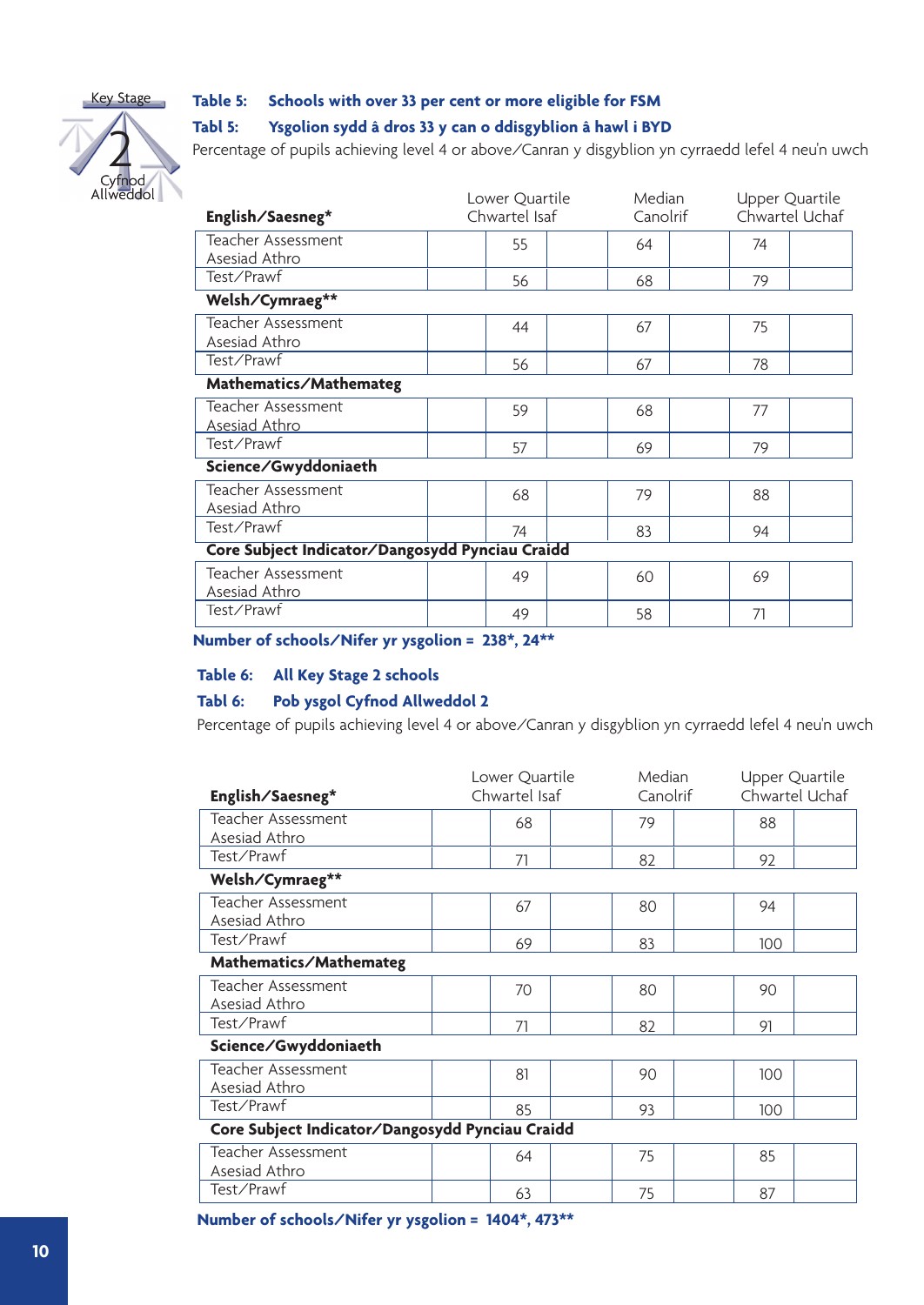

#### **Table 5: Schools with over 33 per cent or more eligible for FSM**

## Cyfn Allweddol 2

## **Tabl 5: Ysgolion sydd â dros 33 y can o ddisgyblion â hawl i BYD**

Percentage of pupils achieving level 4 or above/Canran y disgyblion yn cyrraedd lefel 4 neu'n uwch

| English/Saesneg*                                | Lower Quartile<br>Chwartel Isaf |    | Median<br>Canolrif |    | Upper Quartile | Chwartel Uchaf |  |
|-------------------------------------------------|---------------------------------|----|--------------------|----|----------------|----------------|--|
| Teacher Assessment<br>Asesiad Athro             |                                 | 55 |                    | 64 |                | 74             |  |
| Test/Prawf                                      |                                 | 56 |                    | 68 |                | 79             |  |
| Welsh/Cymraeg**                                 |                                 |    |                    |    |                |                |  |
| Teacher Assessment<br>Asesiad Athro             |                                 | 44 |                    | 67 |                | 75             |  |
| Test/Prawf                                      |                                 | 56 |                    | 67 |                | 78             |  |
| Mathematics/Mathemateg                          |                                 |    |                    |    |                |                |  |
| Teacher Assessment<br>Asesiad Athro             |                                 | 59 |                    | 68 |                | 77             |  |
| Test/Prawf                                      |                                 | 57 |                    | 69 |                | 79             |  |
| Science/Gwyddoniaeth                            |                                 |    |                    |    |                |                |  |
| Teacher Assessment<br>Asesiad Athro             |                                 | 68 |                    | 79 |                | 88             |  |
| Test/Prawf                                      |                                 | 74 |                    | 83 |                | 94             |  |
| Core Subject Indicator/Dangosydd Pynciau Craidd |                                 |    |                    |    |                |                |  |
| Teacher Assessment<br>Asesiad Athro             |                                 | 49 |                    | 60 |                | 69             |  |
| Test/Prawf                                      |                                 | 49 |                    | 58 |                | 71             |  |

**Number of schools/Nifer yr ysgolion = 238\*, 24\*\***

#### **Table 6: All Key Stage 2 schools**

#### **Tabl 6: Pob ysgol Cyfnod Allweddol 2**

Percentage of pupils achieving level 4 or above/Canran y disgyblion yn cyrraedd lefel 4 neu'n uwch

| English/Saesneg*                                | Lower Quartile<br>Chwartel Isaf |    | Median<br>Canolrif |    | Upper Quartile | Chwartel Uchaf |  |
|-------------------------------------------------|---------------------------------|----|--------------------|----|----------------|----------------|--|
| Teacher Assessment<br>Asesiad Athro             |                                 | 68 |                    | 79 |                | 88             |  |
| Test/Prawf                                      |                                 | 71 |                    | 82 |                | 92             |  |
| Welsh/Cymraeg**                                 |                                 |    |                    |    |                |                |  |
| Teacher Assessment<br>Asesiad Athro             |                                 | 67 |                    | 80 |                | 94             |  |
| Test/Prawf                                      |                                 | 69 |                    | 83 |                | 100            |  |
| Mathematics/Mathemateg                          |                                 |    |                    |    |                |                |  |
| Teacher Assessment<br>Asesiad Athro             |                                 | 70 |                    | 80 |                | 90             |  |
| Test/Prawf                                      |                                 | 71 |                    | 82 |                | 91             |  |
| Science/Gwyddoniaeth                            |                                 |    |                    |    |                |                |  |
| Teacher Assessment<br>Asesiad Athro             |                                 | 81 |                    | 90 |                | 100            |  |
| Test/Prawf                                      |                                 | 85 |                    | 93 |                | 100            |  |
| Core Subject Indicator/Dangosydd Pynciau Craidd |                                 |    |                    |    |                |                |  |
| <b>Teacher Assessment</b><br>Asesiad Athro      |                                 | 64 |                    | 75 |                | 85             |  |
| Test/Prawf                                      |                                 | 63 |                    | 75 |                | 87             |  |

**Number of schools/Nifer yr ysgolion = 1404\*, 473\*\***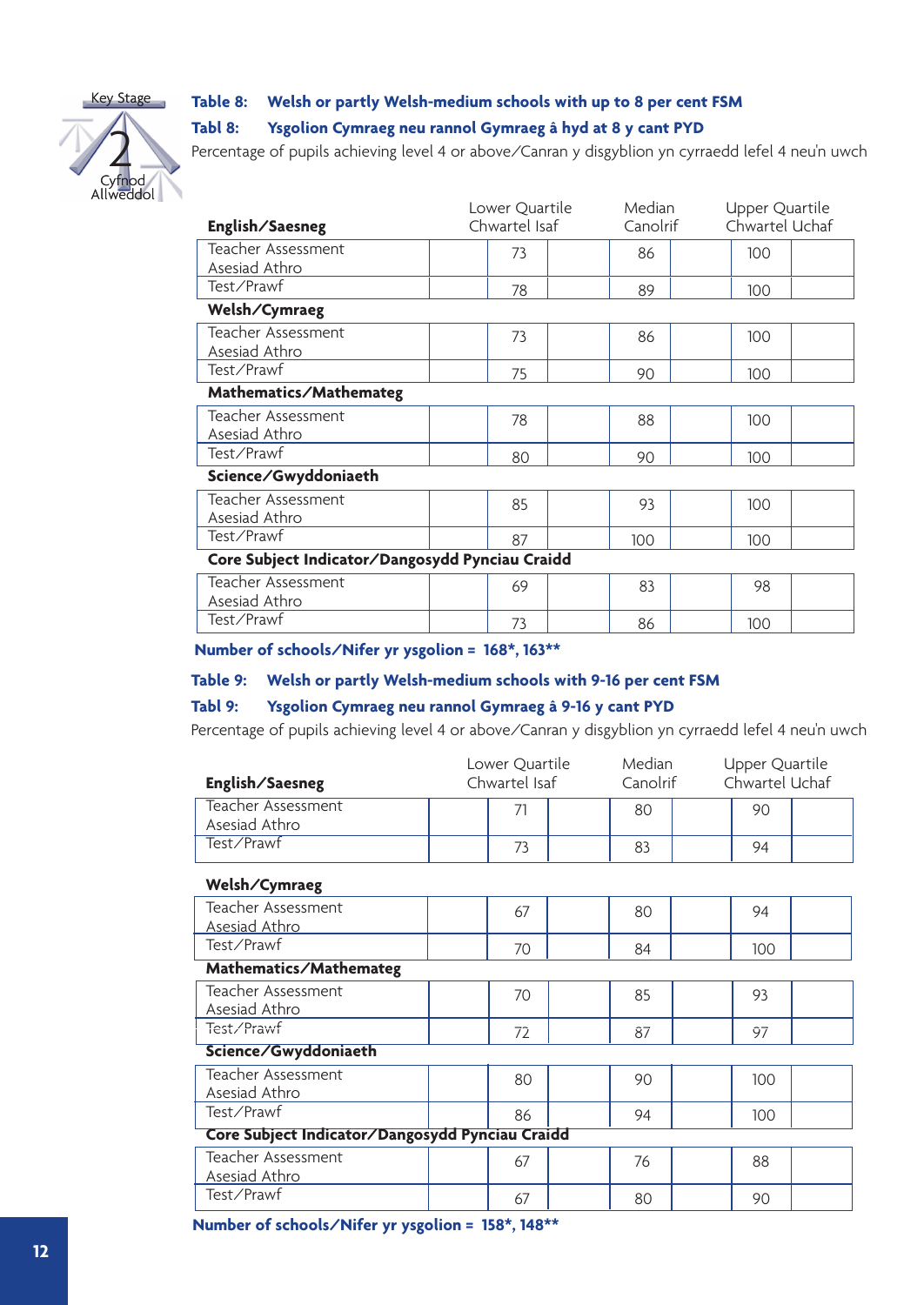

## **Table 8: Welsh or partly Welsh-medium schools with up to 8 per cent FSM**

## **Tabl 8: Ysgolion Cymraeg neu rannol Gymraeg â hyd at 8 y cant PYD**

Percentage of pupils achieving level 4 or above/Canran y disgyblion yn cyrraedd lefel 4 neu'n uwch

| English/Saesneg                                 | Lower Quartile<br>Chwartel Isaf |    | Median<br>Canolrif |  | Upper Quartile<br>Chwartel Uchaf |  |
|-------------------------------------------------|---------------------------------|----|--------------------|--|----------------------------------|--|
| Teacher Assessment<br>Asesiad Athro             |                                 | 73 | 86                 |  | 100                              |  |
| Test/Prawf                                      |                                 | 78 | 89                 |  | 100                              |  |
| Welsh/Cymraeg                                   |                                 |    |                    |  |                                  |  |
| Teacher Assessment<br>Asesiad Athro             |                                 | 73 | 86                 |  | 100                              |  |
| Test/Prawf                                      |                                 | 75 | 90                 |  | 100                              |  |
| Mathematics/Mathemateg                          |                                 |    |                    |  |                                  |  |
| Teacher Assessment<br>Asesiad Athro             |                                 | 78 | 88                 |  | 100                              |  |
| Test/Prawf                                      |                                 | 80 | 90                 |  | 100                              |  |
| Science/Gwyddoniaeth                            |                                 |    |                    |  |                                  |  |
| Teacher Assessment<br>Asesiad Athro             |                                 | 85 | 93                 |  | 100                              |  |
| Test/Prawf                                      |                                 | 87 | 100                |  | 100                              |  |
| Core Subject Indicator/Dangosydd Pynciau Craidd |                                 |    |                    |  |                                  |  |
| Teacher Assessment<br>Asesiad Athro             |                                 | 69 | 83                 |  | 98                               |  |
| Test/Prawf                                      |                                 | 73 | 86                 |  | 100                              |  |

**Number of schools/Nifer yr ysgolion = 168\*, 163\*\***

## **Table 9: Welsh or partly Welsh-medium schools with 9-16 per cent FSM**

#### **Tabl 9: Ysgolion Cymraeg neu rannol Gymraeg â 9-16 y cant PYD**

Percentage of pupils achieving level 4 or above/Canran y disgyblion yn cyrraedd lefel 4 neu'n uwch

| English/Saesneg                     | Lower Quartile<br>Chwartel Isaf |    | Median<br>Canolrif | Upper Quartile<br>Chwartel Uchaf |    |  |
|-------------------------------------|---------------------------------|----|--------------------|----------------------------------|----|--|
| Teacher Assessment<br>Asesiad Athro |                                 |    |                    | 80                               | 90 |  |
| Test/Prawf                          |                                 | 73 |                    | 83                               | 94 |  |
| Welsh/Cymraeg                       |                                 |    |                    |                                  |    |  |

| Teacher Assessment<br>Asesiad Athro             |  | 67 |  | 80 |  | 94  |  |  |  |
|-------------------------------------------------|--|----|--|----|--|-----|--|--|--|
| Test/Prawf                                      |  | 70 |  | 84 |  | 100 |  |  |  |
| Mathematics/Mathemateg                          |  |    |  |    |  |     |  |  |  |
| Teacher Assessment<br>Asesiad Athro             |  | 70 |  | 85 |  | 93  |  |  |  |
| Test/Prawf                                      |  | 72 |  | 87 |  | 97  |  |  |  |
| Science/Gwyddoniaeth                            |  |    |  |    |  |     |  |  |  |
| Teacher Assessment<br>Asesiad Athro             |  | 80 |  | 90 |  | 100 |  |  |  |
| Test/Prawf                                      |  | 86 |  | 94 |  | 100 |  |  |  |
| Core Subject Indicator/Dangosydd Pynciau Craidd |  |    |  |    |  |     |  |  |  |
| Teacher Assessment<br>Asesiad Athro             |  | 67 |  | 76 |  | 88  |  |  |  |
| Test/Prawf                                      |  | 67 |  | 80 |  | 90  |  |  |  |

**Number of schools/Nifer yr ysgolion = 158\*, 148\*\***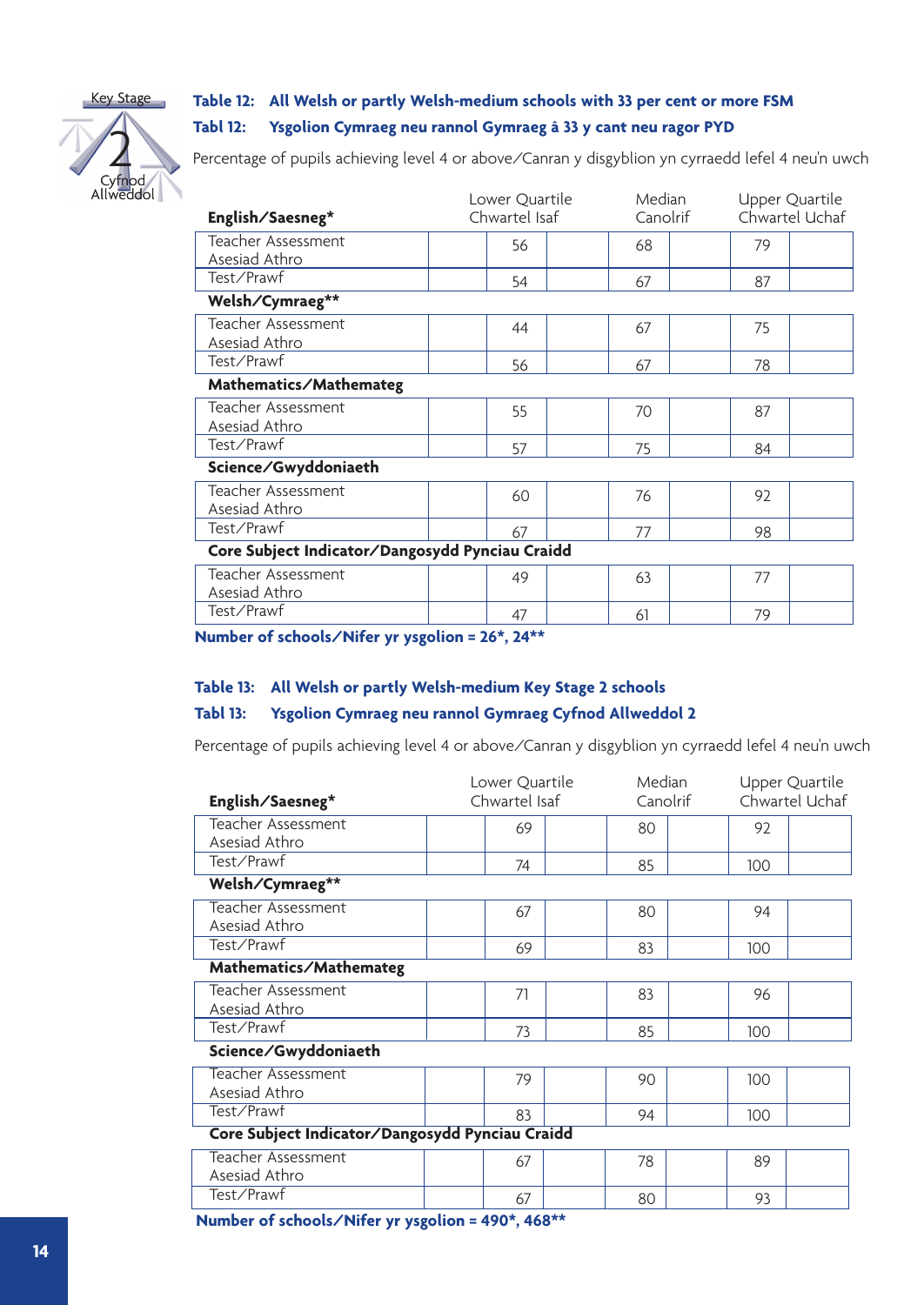

## **Table 12: All Welsh or partly Welsh-medium schools with 33 per cent or more FSM Tabl 12: Ysgolion Cymraeg neu rannol Gymraeg â 33 y cant neu ragor PYD**



Percentage of pupils achieving level 4 or above/Canran y disgyblion yn cyrraedd lefel 4 neu'n uwch

| English/Saesneg*                                | Lower Quartile<br>Chwartel Isaf |    | Median<br>Canolrif |    | Upper Quartile<br>Chwartel Uchaf |  |
|-------------------------------------------------|---------------------------------|----|--------------------|----|----------------------------------|--|
| Teacher Assessment<br>Asesiad Athro             |                                 | 56 |                    | 68 | 79                               |  |
| Test/Prawf                                      |                                 | 54 |                    | 67 | 87                               |  |
| Welsh/Cymraeg**                                 |                                 |    |                    |    |                                  |  |
| Teacher Assessment<br>Asesiad Athro             |                                 | 44 |                    | 67 | 75                               |  |
| Test/Prawf                                      |                                 | 56 |                    | 67 | 78                               |  |
| Mathematics/Mathemateg                          |                                 |    |                    |    |                                  |  |
| Teacher Assessment<br>Asesiad Athro             |                                 | 55 |                    | 70 | 87                               |  |
| Test/Prawf                                      |                                 | 57 |                    | 75 | 84                               |  |
| Science/Gwyddoniaeth                            |                                 |    |                    |    |                                  |  |
| Teacher Assessment<br>Asesiad Athro             |                                 | 60 |                    | 76 | 92                               |  |
| Test/Prawf                                      |                                 | 67 |                    | 77 | 98                               |  |
| Core Subject Indicator/Dangosydd Pynciau Craidd |                                 |    |                    |    |                                  |  |
| Teacher Assessment<br>Asesiad Athro             |                                 | 49 |                    | 63 | 77                               |  |
| Test/Prawf                                      |                                 | 47 |                    | 61 | 79                               |  |

**Number of schools/Nifer yr ysgolion = 26\*, 24\*\***

## **Table 13: All Welsh or partly Welsh-medium Key Stage 2 schools**

## **Tabl 13: Ysgolion Cymraeg neu rannol Gymraeg Cyfnod Allweddol 2**

Percentage of pupils achieving level 4 or above/Canran y disgyblion yn cyrraedd lefel 4 neu'n uwch

| English/Saesneg*                                | Lower Quartile<br>Chwartel Isaf | Median<br>Canolrif |     | Upper Quartile<br>Chwartel Uchaf |
|-------------------------------------------------|---------------------------------|--------------------|-----|----------------------------------|
| Teacher Assessment<br>Asesiad Athro             | 69                              | 80                 | 92  |                                  |
| Test/Prawf                                      | 74                              | 85                 | 100 |                                  |
| Welsh/Cymraeg**                                 |                                 |                    |     |                                  |
| <b>Teacher Assessment</b><br>Asesiad Athro      | 67                              | 80                 | 94  |                                  |
| Test/Prawf                                      | 69                              | 83                 | 100 |                                  |
| Mathematics/Mathemateg                          |                                 |                    |     |                                  |
| Teacher Assessment<br>Asesiad Athro             | 71                              | 83                 | 96  |                                  |
| Test/Prawf                                      | 73                              | 85                 | 100 |                                  |
| Science/Gwyddoniaeth                            |                                 |                    |     |                                  |
| Teacher Assessment<br>Asesiad Athro             | 79                              | 90                 | 100 |                                  |
| Test/Prawf                                      | 83                              | 94                 | 100 |                                  |
| Core Subject Indicator/Dangosydd Pynciau Craidd |                                 |                    |     |                                  |
| <b>Teacher Assessment</b><br>Asesiad Athro      | 67                              | 78                 | 89  |                                  |
| Test/Prawf                                      | 67                              | 80                 | 93  |                                  |

**Number of schools/Nifer yr ysgolion = 490\*, 468\*\***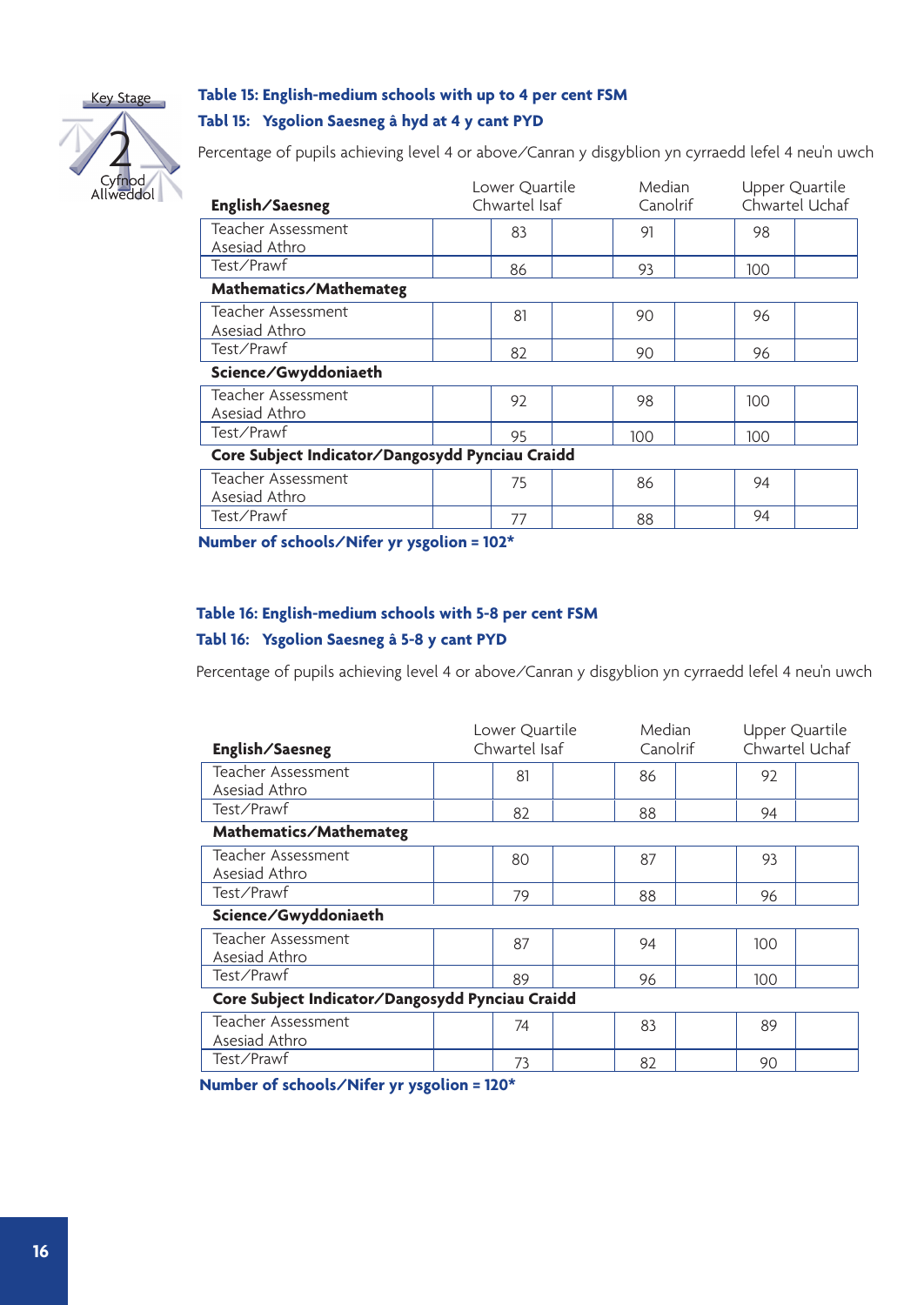

Cyfnod Allweddol

2

## **Table 15: English-medium schools with up to 4 per cent FSM**

## **Tabl 15: Ysgolion Saesneg â hyd at 4 y cant PYD**

Percentage of pupils achieving level 4 or above/Canran y disgyblion yn cyrraedd lefel 4 neu'n uwch

| English/Saesneg                                 | Lower Quartile<br>Chwartel Isaf |    | Median<br>Canolrif |     | Upper Quartile<br>Chwartel Uchaf |     |  |
|-------------------------------------------------|---------------------------------|----|--------------------|-----|----------------------------------|-----|--|
| Teacher Assessment<br>Asesiad Athro             |                                 | 83 |                    | 91  |                                  | 98  |  |
| Test/Prawf                                      |                                 | 86 |                    | 93  |                                  | 100 |  |
| Mathematics/Mathemateg                          |                                 |    |                    |     |                                  |     |  |
| Teacher Assessment<br>Asesiad Athro             |                                 | 81 |                    | 90  |                                  | 96  |  |
| Test/Prawf                                      |                                 | 82 |                    | 90  |                                  | 96  |  |
| Science/Gwyddoniaeth                            |                                 |    |                    |     |                                  |     |  |
| Teacher Assessment<br>Asesiad Athro             |                                 | 92 |                    | 98  |                                  | 100 |  |
| Test/Prawf                                      |                                 | 95 |                    | 100 |                                  | 100 |  |
| Core Subject Indicator/Dangosydd Pynciau Craidd |                                 |    |                    |     |                                  |     |  |
| Teacher Assessment<br>Asesiad Athro             |                                 | 75 |                    | 86  |                                  | 94  |  |
| Test/Prawf                                      |                                 | 77 |                    | 88  |                                  | 94  |  |

Test/Prawf 2012 12/12 12/12 12/12 12/13 12/14 12/14 12/14 12/14 12/14 12/14 12/14 12/14 12/14 12/14 12/14 12/1 **Number of schools/Nifer yr ysgolion = 102\***

## **Table 16: English-medium schools with 5-8 per cent FSM**

#### **Tabl 16: Ysgolion Saesneg â 5-8 y cant PYD**

Percentage of pupils achieving level 4 or above/Canran y disgyblion yn cyrraedd lefel 4 neu'n uwch

| English/Saesneg                                 | Lower Quartile<br>Chwartel Isaf | Median<br>Canolrif | Upper Quartile | Chwartel Uchaf |
|-------------------------------------------------|---------------------------------|--------------------|----------------|----------------|
| Teacher Assessment<br>Asesiad Athro             | 81                              | 86                 | 92             |                |
| Test/Prawf                                      | 82                              | 88                 | 94             |                |
| Mathematics/Mathemateg                          |                                 |                    |                |                |
| Teacher Assessment<br>Asesiad Athro             | 80                              | 87                 | 93             |                |
| Test/Prawf                                      | 79                              | 88                 | 96             |                |
| Science/Gwyddoniaeth                            |                                 |                    |                |                |
| Teacher Assessment<br>Asesiad Athro             | 87                              | 94                 | 100            |                |
| Test/Prawf                                      | 89                              | 96                 | 100            |                |
| Core Subject Indicator/Dangosydd Pynciau Craidd |                                 |                    |                |                |
| Teacher Assessment<br>Asesiad Athro             | 74                              | 83                 | 89             |                |
| Test/Prawf                                      | 73                              | 82                 | 90             |                |

**Number of schools/Nifer yr ysgolion = 120\***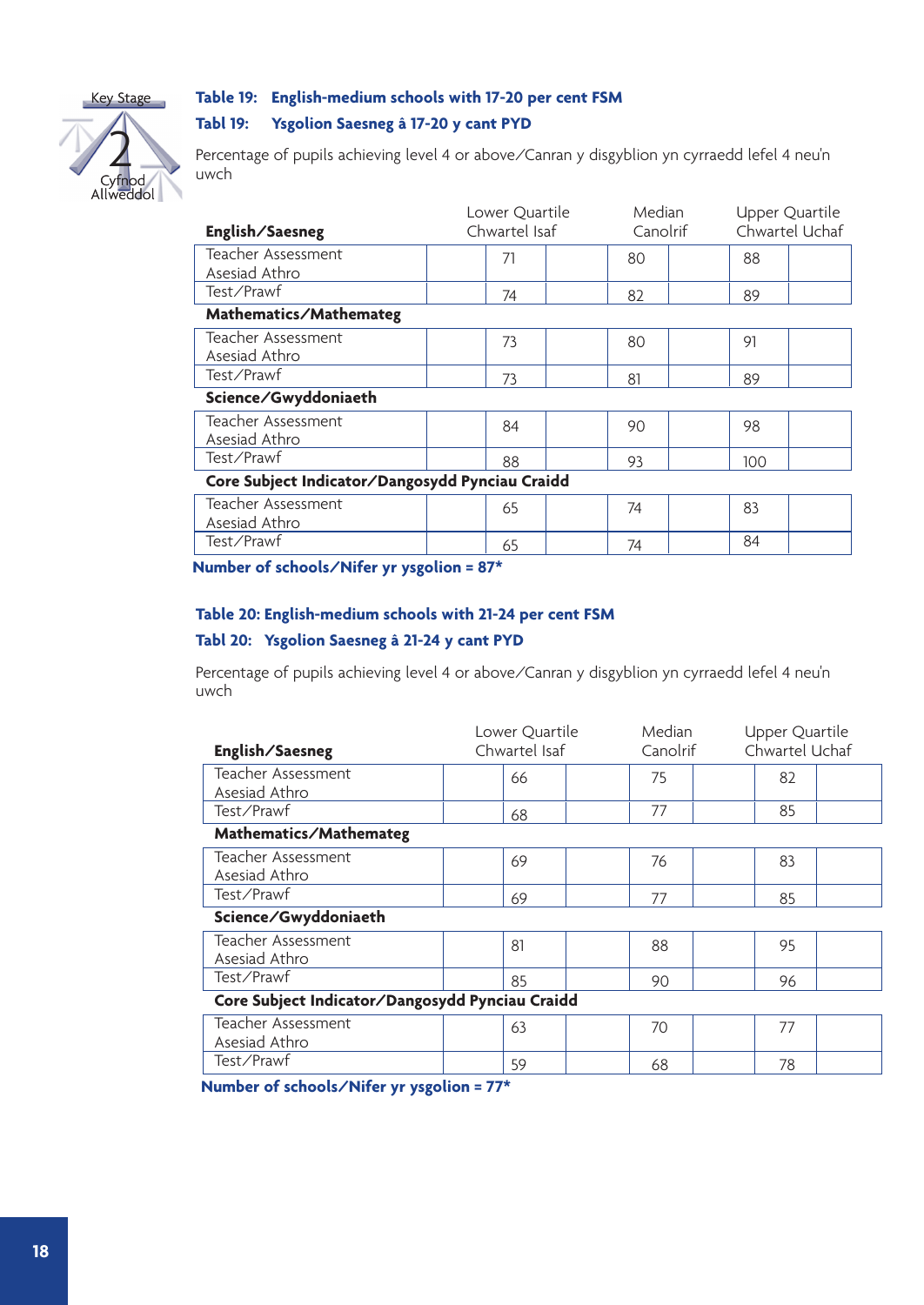

## Cyfnod Allweddol 2

**Table 19: English-medium schools with 17-20 per cent FSM** 

### **Tabl 19: Ysgolion Saesneg â 17-20 y cant PYD**

Percentage of pupils achieving level 4 or above/Canran y disgyblion yn cyrraedd lefel 4 neu'n uwch

| English/Saesneg                                 | Lower Quartile<br>Chwartel Isaf | Median<br>Canolrif | Upper Quartile | Chwartel Uchaf |
|-------------------------------------------------|---------------------------------|--------------------|----------------|----------------|
| Teacher Assessment<br>Asesiad Athro             | 71                              | 80                 | 88             |                |
| Test/Prawf                                      | 74                              | 82                 | 89             |                |
| Mathematics/Mathemateg                          |                                 |                    |                |                |
| Teacher Assessment<br>Asesiad Athro             | 73                              | 80                 | 91             |                |
| Test/Prawf                                      | 73                              | 81                 | 89             |                |
| Science/Gwyddoniaeth                            |                                 |                    |                |                |
| Teacher Assessment<br>Asesiad Athro             | 84                              | 90                 | 98             |                |
| Test/Prawf                                      | 88                              | 93                 | 100            |                |
| Core Subject Indicator/Dangosydd Pynciau Craidd |                                 |                    |                |                |
| Teacher Assessment<br>Asesiad Athro             | 65                              | 74                 | 83             |                |
| Test/Prawf                                      | 65                              | 74                 | 84             |                |

**Number of schools/Nifer yr ysgolion = 87\***

## **Table 20: English-medium schools with 21-24 per cent FSM**

#### **Tabl 20: Ysgolion Saesneg â 21-24 y cant PYD**

Percentage of pupils achieving level 4 or above/Canran y disgyblion yn cyrraedd lefel 4 neu'n uwch

| English/Saesneg                                 | Lower Quartile<br>Chwartel Isaf | Median<br>Canolrif | Upper Quartile<br>Chwartel Uchaf |  |
|-------------------------------------------------|---------------------------------|--------------------|----------------------------------|--|
| Teacher Assessment<br>Asesiad Athro             | 66                              | 75                 | 82                               |  |
| Test/Prawf                                      | 68                              | 77                 | 85                               |  |
| Mathematics/Mathemateg                          |                                 |                    |                                  |  |
| Teacher Assessment<br>Asesiad Athro             | 69                              | 76                 | 83                               |  |
| Test/Prawf                                      | 69                              | 77                 | 85                               |  |
| Science/Gwyddoniaeth                            |                                 |                    |                                  |  |
| Teacher Assessment<br>Asesiad Athro             | 81                              | 88                 | 95                               |  |
| Test/Prawf                                      | 85                              | 90                 | 96                               |  |
| Core Subject Indicator/Dangosydd Pynciau Craidd |                                 |                    |                                  |  |
| Teacher Assessment<br>Asesiad Athro             | 63                              | 70                 | 77                               |  |
| Test/Prawf                                      | 59                              | 68                 | 78                               |  |

**Number of schools/Nifer yr ysgolion = 77\***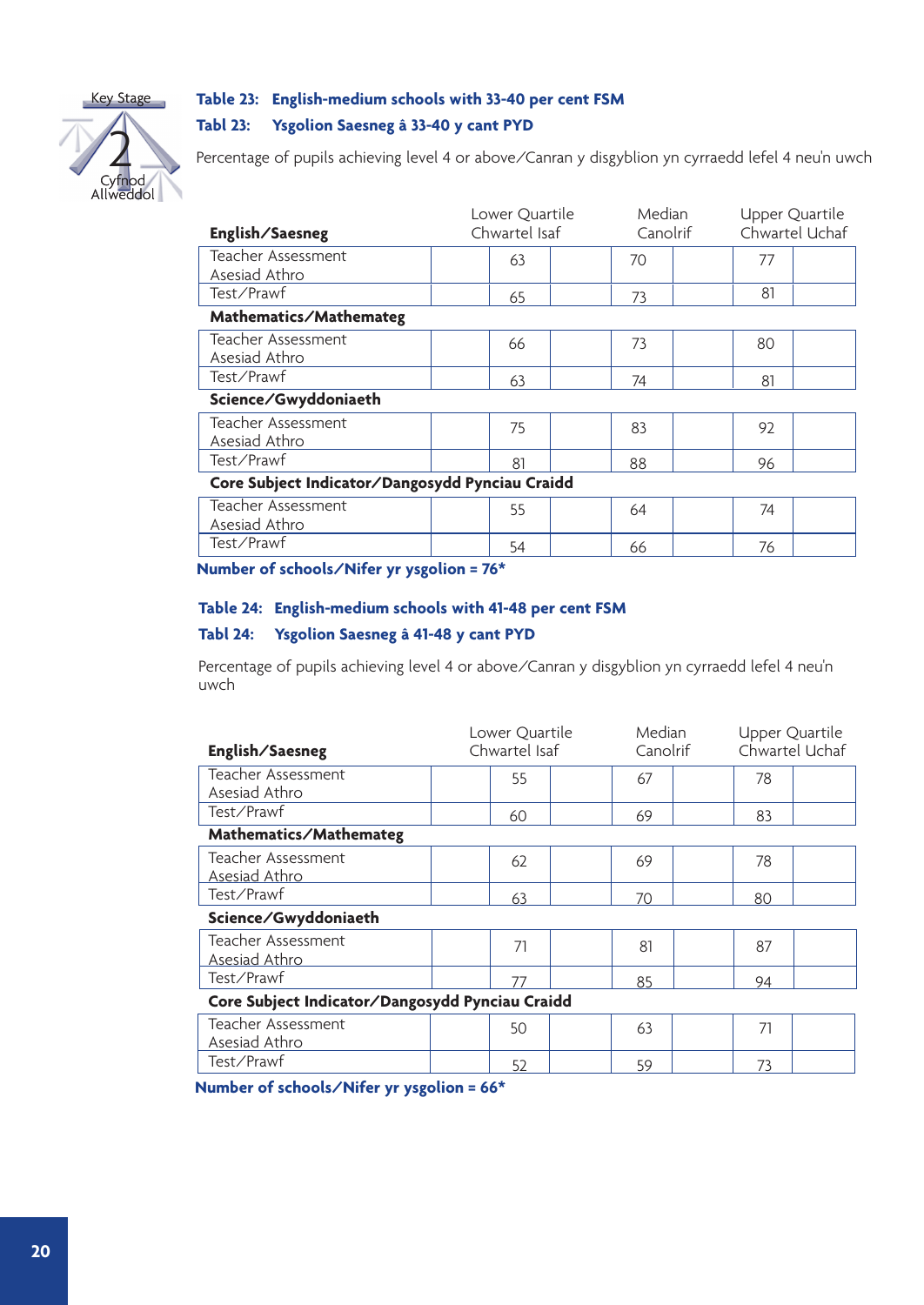

## **Table 23: English-medium schools with 33-40 per cent FSM**

## **Tabl 23: Ysgolion Saesneg â 33-40 y cant PYD**



Percentage of pupils achieving level 4 or above/Canran y disgyblion yn cyrraedd lefel 4 neu'n uwch

| English/Saesneg                                 | Lower Quartile<br>Chwartel Isaf | Median | Canolrif | Upper Quartile<br>Chwartel Uchaf |
|-------------------------------------------------|---------------------------------|--------|----------|----------------------------------|
| Teacher Assessment<br>Asesiad Athro             | 63                              | 70     | 77       |                                  |
| Test/Prawf                                      | 65                              | 73     | 81       |                                  |
| Mathematics/Mathemateg                          |                                 |        |          |                                  |
| Teacher Assessment<br>Asesiad Athro             | 66                              | 73     | 80       |                                  |
| Test/Prawf                                      | 63                              | 74     | 81       |                                  |
| Science/Gwyddoniaeth                            |                                 |        |          |                                  |
| Teacher Assessment<br>Asesiad Athro             | 75                              | 83     | 92       |                                  |
| Test/Prawf                                      | 81                              | 88     | 96       |                                  |
| Core Subject Indicator/Dangosydd Pynciau Craidd |                                 |        |          |                                  |
| Teacher Assessment<br>Asesiad Athro             | 55                              | 64     | 74       |                                  |
| Test/Prawf                                      | 54                              | 66     | 76       |                                  |

**Number of schools/Nifer yr ysgolion = 76\***

#### **Table 24: English-medium schools with 41-48 per cent FSM**

## **Tabl 24: Ysgolion Saesneg â 41-48 y cant PYD**

Percentage of pupils achieving level 4 or above/Canran y disgyblion yn cyrraedd lefel 4 neu'n uwch

| English/Saesneg                                 | Lower Quartile<br>Chwartel Isaf | Median<br>Canolrif | Upper Quartile<br>Chwartel Uchaf |  |
|-------------------------------------------------|---------------------------------|--------------------|----------------------------------|--|
| Teacher Assessment<br>Asesiad Athro             | 55                              | 67                 | 78                               |  |
| Test/Prawf                                      | 60                              | 69                 | 83                               |  |
| Mathematics/Mathemateg                          |                                 |                    |                                  |  |
| Teacher Assessment<br>Asesiad Athro             | 62                              | 69                 | 78                               |  |
| Test/Prawf                                      | 63                              | 70                 | 80                               |  |
| Science/Gwyddoniaeth                            |                                 |                    |                                  |  |
| Teacher Assessment<br>Asesiad Athro             | 71                              | 81                 | 87                               |  |
| Test/Prawf                                      | 77                              | 85                 | 94                               |  |
| Core Subject Indicator/Dangosydd Pynciau Craidd |                                 |                    |                                  |  |
| Teacher Assessment<br>Asesiad Athro             | 50                              | 63                 | 71                               |  |
| Test/Prawf                                      | 52                              | 59                 | 73                               |  |

**Number of schools/Nifer yr ysgolion = 66\***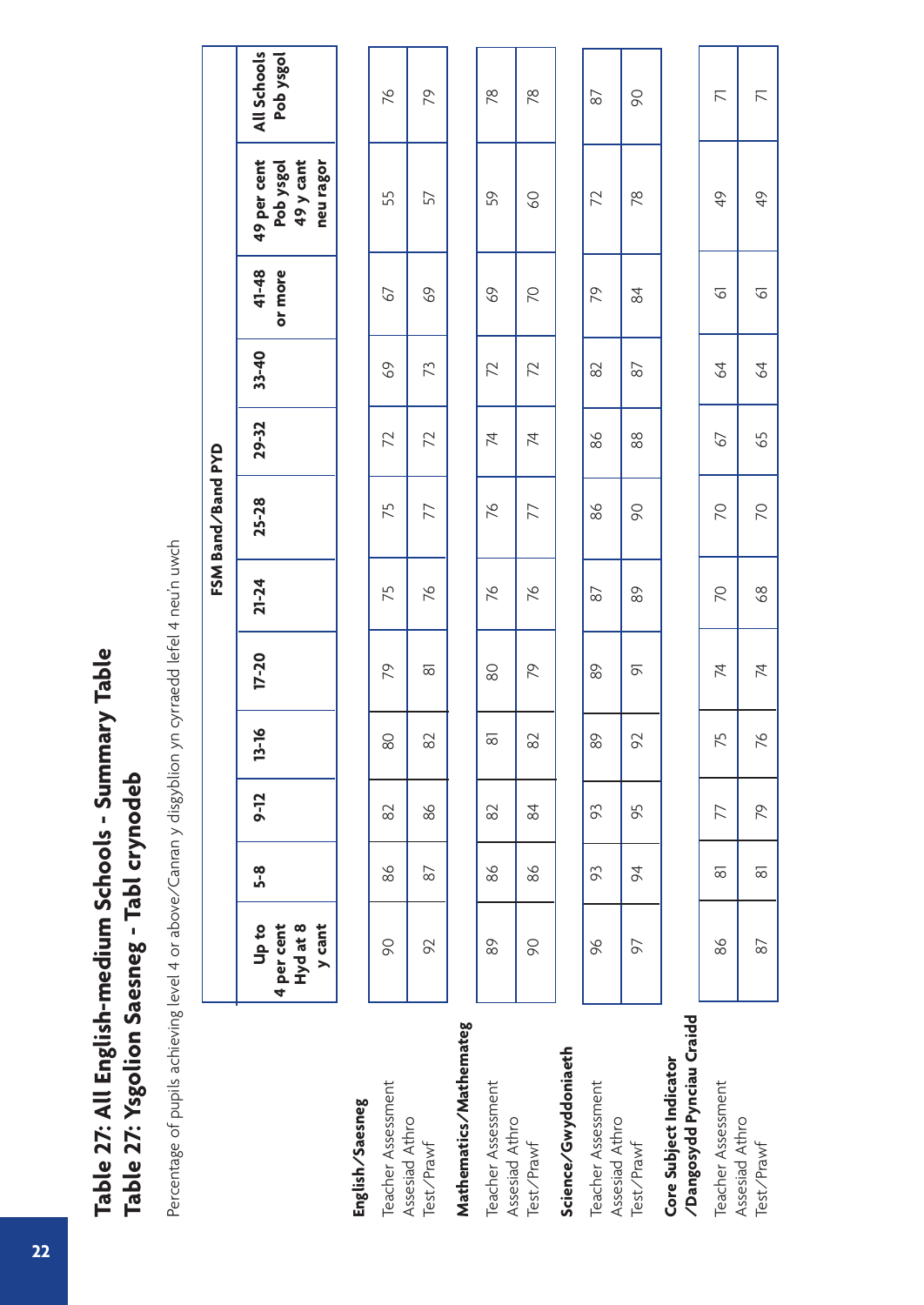Table 27: All English-medium Schools - Summary Table **Table 27: All English-medium Schools - Summary Table** Table 27: Ysgolion Saesneg - Tabl crynodeb **Table 27: Ysgolion Saesneg - Tabl crynodeb**

Percentage of pupils achieving level 4 or above/Canran y disgyblion yn cyrraedd lefel 4 neu'n uwch Percentage of pupils achieving level 4 or above/Canran y disgyblion yn cyrraedd lefel 4 neu'n uwch

|                                                     |                                           |                     |      |                     |                     |                | FSM Band/Band PYD |       |           |                  |                                                   |                         |
|-----------------------------------------------------|-------------------------------------------|---------------------|------|---------------------|---------------------|----------------|-------------------|-------|-----------|------------------|---------------------------------------------------|-------------------------|
|                                                     | Up to<br>4 per cent<br>Hyd at 8<br>y cant | 5-8                 | 9-12 | $13 - 16$           | $17 - 20$           | $21 - 24$      | 25-28             | 29-32 | $33 - 40$ | 41-48<br>or more | 49 y cant<br>49 per cent<br>neu ragor<br>Pobysgol | All Schools<br>Pobysgol |
| English/Saesneg                                     |                                           |                     |      |                     |                     |                |                   |       |           |                  |                                                   |                         |
| Teacher Assessment                                  | 90                                        | 86                  | 82   | 80                  | 79                  | 75             | 75                | 72    | 69        | 29               | 55                                                | 97                      |
| Assesiad Athro<br>Test/Prawf                        | 92                                        | 87                  | 86   | 82                  | $\overline{\infty}$ | 97             | 77                | 72    | 73        | 69               | 57                                                | 79                      |
| Mathematics/Mathemateg                              |                                           |                     |      |                     |                     |                |                   |       |           |                  |                                                   |                         |
| Teacher Assessment<br>Assesiad Athro                | 89                                        | 86                  | 82   | $\overline{\infty}$ | 80                  | 92             | 26                | 74    | 72        | S9               | 59                                                | $\frac{8}{2}$           |
| Test/Prawf                                          | 90                                        | 86                  | 84   | $\approx$           | 79                  | 97             | 77                | 74    | 72        | <b>D</b>         | 89                                                | $\frac{8}{2}$           |
| Science/Gwyddoniaeth                                |                                           |                     |      |                     |                     |                |                   |       |           |                  |                                                   |                         |
| Teacher Assessment<br>Assesiad Athro                | 96                                        | 93                  | 93   | 89                  | 89                  | $\overline{8}$ | 86                | $86$  | 82        | 79               | 72                                                | 87                      |
| Test/Prawf                                          | 56                                        | $\beta$             | 95   | 92                  | $\overline{\circ}$  | 89             | 90                | 88    | 87        | 84               | $\frac{8}{2}$                                     | 90                      |
| /Dangosydd Pynciau Craidd<br>Core Subject Indicator |                                           |                     |      |                     |                     |                |                   |       |           |                  |                                                   |                         |
| Teacher Assessment                                  | 86                                        | $\overline{\infty}$ | 77   | 75                  | 74                  | <b>PC</b>      | S                 | 67    | 64        | 6                | $\frac{1}{2}$                                     | $\overline{\wedge}$     |
| Assesiad Athro<br>Test/Prawf                        | $\infty$                                  | $\overline{\infty}$ | 79   | 76                  | 尽                   | 8 <sup>o</sup> | $\beta$           | 65    | 64        | 61               | $\frac{1}{2}$                                     | $\overline{\wedge}$     |

**22**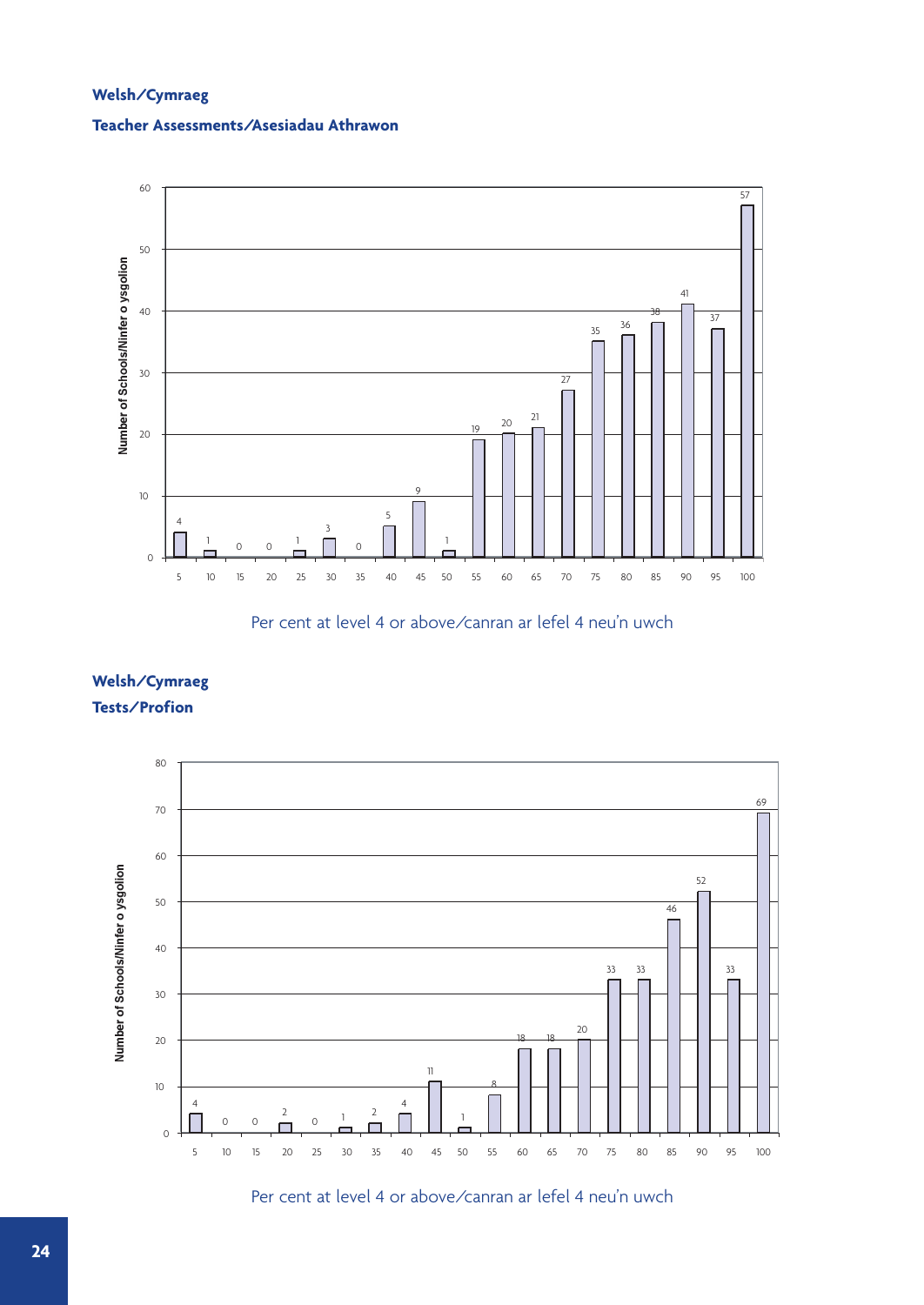## **Welsh/Cymraeg**

## **Teacher Assessments/Asesiadau Athrawon**



Per cent at level 4 or above/canran ar lefel 4 neu'n uwch





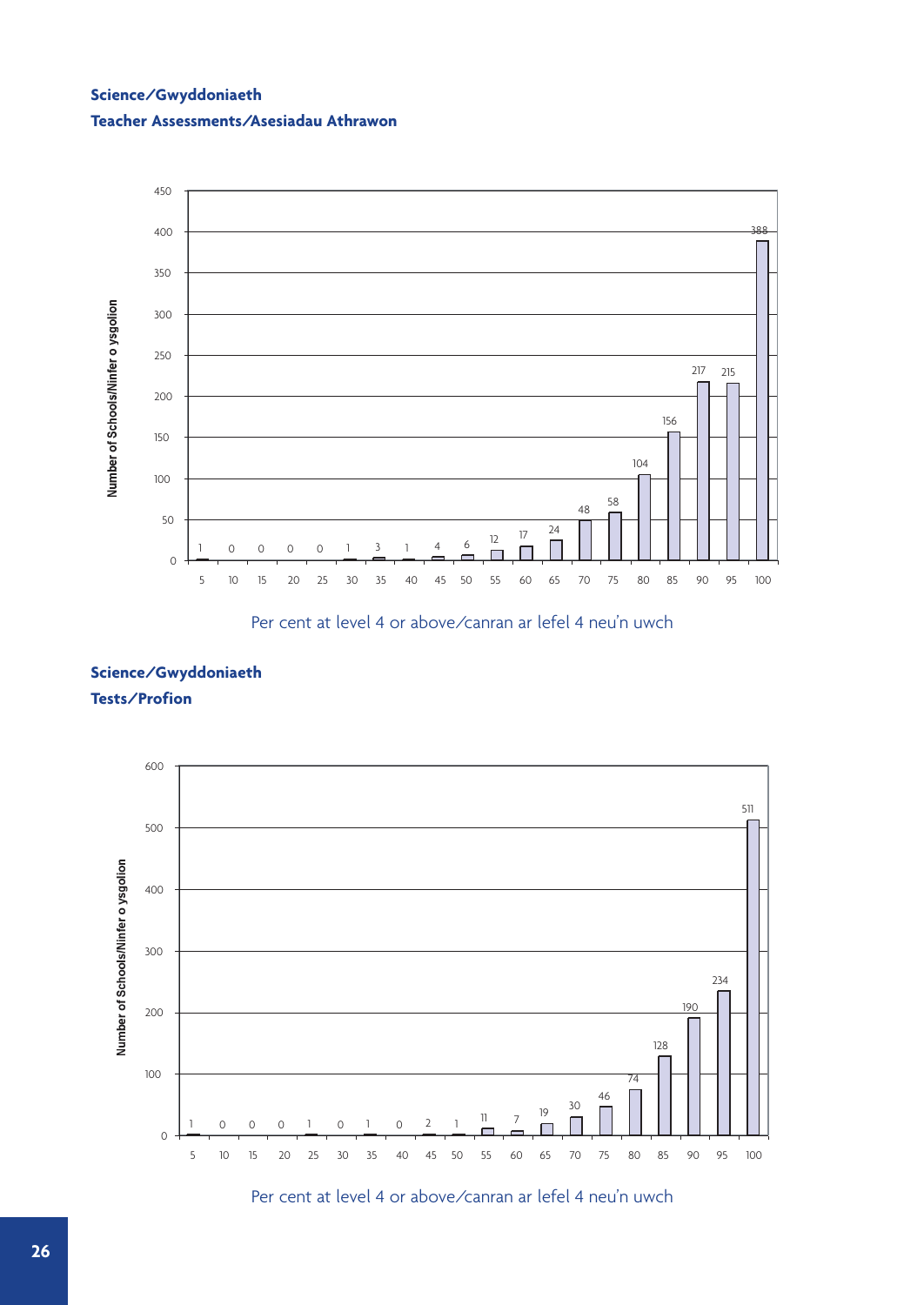## **Science/Gwyddoniaeth Teacher Assessments/Asesiadau Athrawon**



Per cent at level 4 or above/canran ar lefel 4 neu'n uwch

## **Science/Gwyddoniaeth Tests/Profion**



Per cent at level 4 or above/canran ar lefel 4 neu'n uwch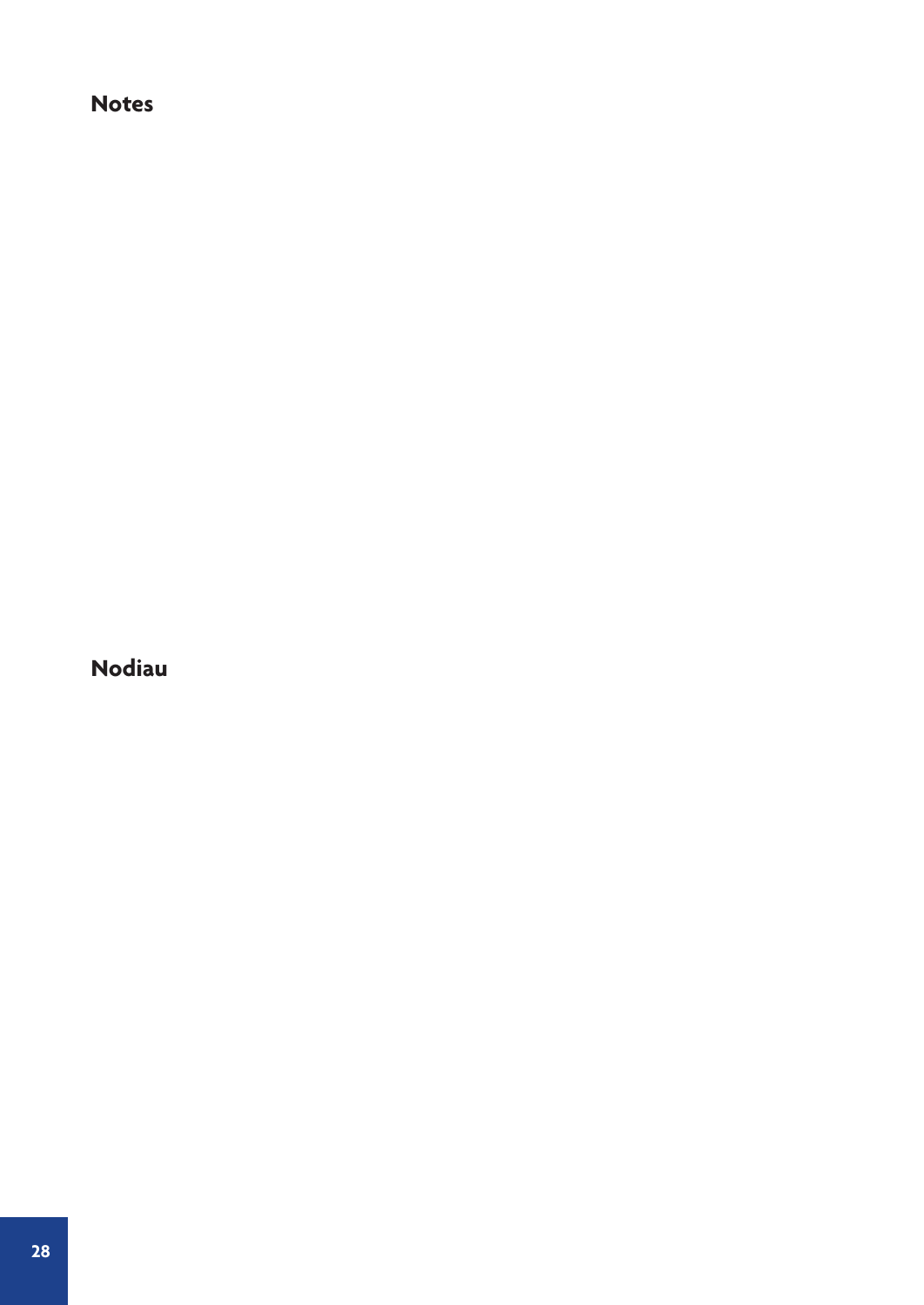## **Notes**

**Nodiau**